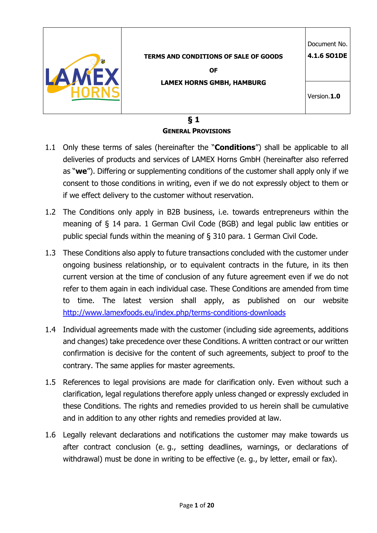| <b>TERMS AND CONDITIONS OF SALE OF GOODS</b><br><b>OF</b> | Document No.<br>4.1.6 SO1DE |
|-----------------------------------------------------------|-----------------------------|
| <b>LAMEX HORNS GMBH, HAMBURG</b>                          | Version.1.0                 |
| - -                                                       |                             |

### **§ 1 GENERAL PROVISIONS**

- 1.1 Only these terms of sales (hereinafter the "**Conditions**") shall be applicable to all deliveries of products and services of LAMEX Horns GmbH (hereinafter also referred as "**we**"). Differing or supplementing conditions of the customer shall apply only if we consent to those conditions in writing, even if we do not expressly object to them or if we effect delivery to the customer without reservation.
- 1.2 The Conditions only apply in B2B business, i.e. towards entrepreneurs within the meaning of § 14 para. 1 German Civil Code (BGB) and legal public law entities or public special funds within the meaning of § 310 para. 1 German Civil Code.
- 1.3 These Conditions also apply to future transactions concluded with the customer under ongoing business relationship, or to equivalent contracts in the future, in its then current version at the time of conclusion of any future agreement even if we do not refer to them again in each individual case. These Conditions are amended from time to time. The latest version shall apply, as published on our website http://www.lamexfoods.eu/index.php/terms-conditions-downloads
- 1.4 Individual agreements made with the customer (including side agreements, additions and changes) take precedence over these Conditions. A written contract or our written confirmation is decisive for the content of such agreements, subject to proof to the contrary. The same applies for master agreements.
- 1.5 References to legal provisions are made for clarification only. Even without such a clarification, legal regulations therefore apply unless changed or expressly excluded in these Conditions. The rights and remedies provided to us herein shall be cumulative and in addition to any other rights and remedies provided at law.
- 1.6 Legally relevant declarations and notifications the customer may make towards us after contract conclusion (e. g., setting deadlines, warnings, or declarations of withdrawal) must be done in writing to be effective (e. g., by letter, email or fax).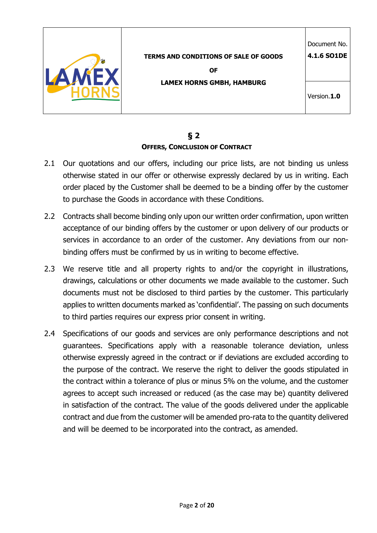

# **§ 2 OFFERS, CONCLUSION OF CONTRACT**

- 2.1 Our quotations and our offers, including our price lists, are not binding us unless otherwise stated in our offer or otherwise expressly declared by us in writing. Each order placed by the Customer shall be deemed to be a binding offer by the customer to purchase the Goods in accordance with these Conditions.
- 2.2 Contracts shall become binding only upon our written order confirmation, upon written acceptance of our binding offers by the customer or upon delivery of our products or services in accordance to an order of the customer. Any deviations from our nonbinding offers must be confirmed by us in writing to become effective.
- 2.3 We reserve title and all property rights to and/or the copyright in illustrations, drawings, calculations or other documents we made available to the customer. Such documents must not be disclosed to third parties by the customer. This particularly applies to written documents marked as 'confidential'. The passing on such documents to third parties requires our express prior consent in writing.
- 2.4 Specifications of our goods and services are only performance descriptions and not guarantees. Specifications apply with a reasonable tolerance deviation, unless otherwise expressly agreed in the contract or if deviations are excluded according to the purpose of the contract. We reserve the right to deliver the goods stipulated in the contract within a tolerance of plus or minus 5% on the volume, and the customer agrees to accept such increased or reduced (as the case may be) quantity delivered in satisfaction of the contract. The value of the goods delivered under the applicable contract and due from the customer will be amended pro-rata to the quantity delivered and will be deemed to be incorporated into the contract, as amended.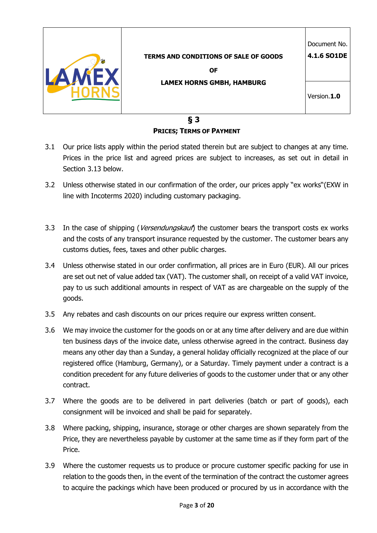| <b>TERMS AND CONDITIONS OF SALE OF GOODS</b><br><b>OF</b> | Document No.<br>4.1.6 SO1DE |
|-----------------------------------------------------------|-----------------------------|
| <b>LAMEX HORNS GMBH, HAMBURG</b>                          | Version.1.0                 |

**§ 3 PRICES; TERMS OF PAYMENT**

- 3.1 Our price lists apply within the period stated therein but are subject to changes at any time. Prices in the price list and agreed prices are subject to increases, as set out in detail in Section 3.13 below.
- 3.2 Unless otherwise stated in our confirmation of the order, our prices apply "ex works"(EXW in line with Incoterms 2020) including customary packaging.
- 3.3 In the case of shipping (*Versendungskauf*) the customer bears the transport costs ex works and the costs of any transport insurance requested by the customer. The customer bears any customs duties, fees, taxes and other public charges.
- 3.4 Unless otherwise stated in our order confirmation, all prices are in Euro (EUR). All our prices are set out net of value added tax (VAT). The customer shall, on receipt of a valid VAT invoice, pay to us such additional amounts in respect of VAT as are chargeable on the supply of the goods.
- 3.5 Any rebates and cash discounts on our prices require our express written consent.
- 3.6 We may invoice the customer for the goods on or at any time after delivery and are due within ten business days of the invoice date, unless otherwise agreed in the contract. Business day means any other day than a Sunday, a general holiday officially recognized at the place of our registered office (Hamburg, Germany), or a Saturday. Timely payment under a contract is a condition precedent for any future deliveries of goods to the customer under that or any other contract.
- 3.7 Where the goods are to be delivered in part deliveries (batch or part of goods), each consignment will be invoiced and shall be paid for separately.
- 3.8 Where packing, shipping, insurance, storage or other charges are shown separately from the Price, they are nevertheless payable by customer at the same time as if they form part of the Price.
- 3.9 Where the customer requests us to produce or procure customer specific packing for use in relation to the goods then, in the event of the termination of the contract the customer agrees to acquire the packings which have been produced or procured by us in accordance with the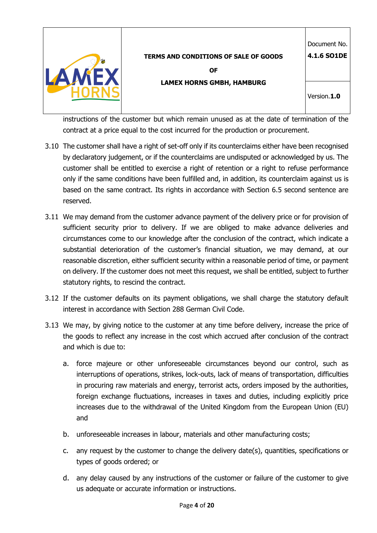

**4.1.6 SO1DE**

**OF LAMEX HORNS GMBH, HAMBURG**

Version.**1.0**

instructions of the customer but which remain unused as at the date of termination of the contract at a price equal to the cost incurred for the production or procurement.

- 3.10 The customer shall have a right of set-off only if its counterclaims either have been recognised by declaratory judgement, or if the counterclaims are undisputed or acknowledged by us. The customer shall be entitled to exercise a right of retention or a right to refuse performance only if the same conditions have been fulfilled and, in addition, its counterclaim against us is based on the same contract. Its rights in accordance with Section 6.5 second sentence are reserved.
- 3.11 We may demand from the customer advance payment of the delivery price or for provision of sufficient security prior to delivery. If we are obliged to make advance deliveries and circumstances come to our knowledge after the conclusion of the contract, which indicate a substantial deterioration of the customer's financial situation, we may demand, at our reasonable discretion, either sufficient security within a reasonable period of time, or payment on delivery. If the customer does not meet this request, we shall be entitled, subject to further statutory rights, to rescind the contract.
- 3.12 If the customer defaults on its payment obligations, we shall charge the statutory default interest in accordance with Section 288 German Civil Code.
- 3.13 We may, by giving notice to the customer at any time before delivery, increase the price of the goods to reflect any increase in the cost which accrued after conclusion of the contract and which is due to:
	- a. force majeure or other unforeseeable circumstances beyond our control, such as interruptions of operations, strikes, lock-outs, lack of means of transportation, difficulties in procuring raw materials and energy, terrorist acts, orders imposed by the authorities, foreign exchange fluctuations, increases in taxes and duties, including explicitly price increases due to the withdrawal of the United Kingdom from the European Union (EU) and
	- b. unforeseeable increases in labour, materials and other manufacturing costs;
	- c. any request by the customer to change the delivery date(s), quantities, specifications or types of goods ordered; or
	- d. any delay caused by any instructions of the customer or failure of the customer to give us adequate or accurate information or instructions.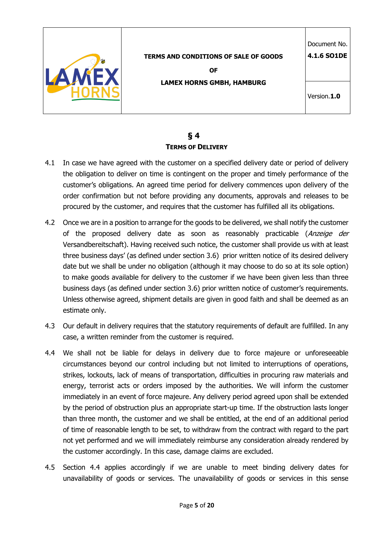

## **§ 4 TERMS OF DELIVERY**

- 4.1 In case we have agreed with the customer on a specified delivery date or period of delivery the obligation to deliver on time is contingent on the proper and timely performance of the customer's obligations. An agreed time period for delivery commences upon delivery of the order confirmation but not before providing any documents, approvals and releases to be procured by the customer, and requires that the customer has fulfilled all its obligations.
- 4.2 Once we are in a position to arrange for the goods to be delivered, we shall notify the customer of the proposed delivery date as soon as reasonably practicable (Anzeige der Versandbereitschaft). Having received such notice, the customer shall provide us with at least three business days' (as defined under section 3.6) prior written notice of its desired delivery date but we shall be under no obligation (although it may choose to do so at its sole option) to make goods available for delivery to the customer if we have been given less than three business days (as defined under section 3.6) prior written notice of customer's requirements. Unless otherwise agreed, shipment details are given in good faith and shall be deemed as an estimate only.
- 4.3 Our default in delivery requires that the statutory requirements of default are fulfilled. In any case, a written reminder from the customer is required.
- 4.4 We shall not be liable for delays in delivery due to force majeure or unforeseeable circumstances beyond our control including but not limited to interruptions of operations, strikes, lockouts, lack of means of transportation, difficulties in procuring raw materials and energy, terrorist acts or orders imposed by the authorities. We will inform the customer immediately in an event of force majeure. Any delivery period agreed upon shall be extended by the period of obstruction plus an appropriate start-up time. If the obstruction lasts longer than three month, the customer and we shall be entitled, at the end of an additional period of time of reasonable length to be set, to withdraw from the contract with regard to the part not yet performed and we will immediately reimburse any consideration already rendered by the customer accordingly. In this case, damage claims are excluded.
- 4.5 Section 4.4 applies accordingly if we are unable to meet binding delivery dates for unavailability of goods or services. The unavailability of goods or services in this sense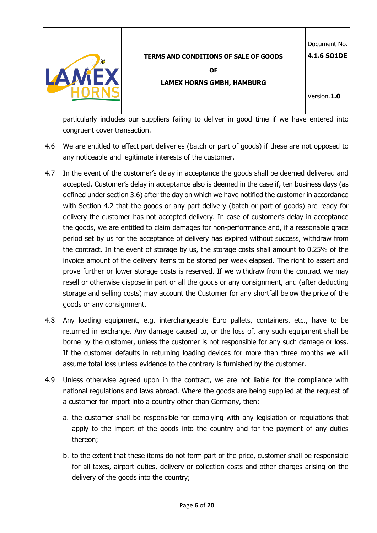|                                              | Document No. |
|----------------------------------------------|--------------|
| <b>TERMS AND CONDITIONS OF SALE OF GOODS</b> | 4.1.6 SO1DE  |
| <b>OF</b>                                    |              |
| <b>LAMEX HORNS GMBH, HAMBURG</b>             |              |
|                                              | Version.1.0  |
|                                              |              |

particularly includes our suppliers failing to deliver in good time if we have entered into congruent cover transaction.

- 4.6 We are entitled to effect part deliveries (batch or part of goods) if these are not opposed to any noticeable and legitimate interests of the customer.
- 4.7 In the event of the customer's delay in acceptance the goods shall be deemed delivered and accepted. Customer's delay in acceptance also is deemed in the case if, ten business days (as defined under section 3.6) after the day on which we have notified the customer in accordance with Section 4.2 that the goods or any part delivery (batch or part of goods) are ready for delivery the customer has not accepted delivery. In case of customer's delay in acceptance the goods, we are entitled to claim damages for non-performance and, if a reasonable grace period set by us for the acceptance of delivery has expired without success, withdraw from the contract. In the event of storage by us, the storage costs shall amount to 0.25% of the invoice amount of the delivery items to be stored per week elapsed. The right to assert and prove further or lower storage costs is reserved. If we withdraw from the contract we may resell or otherwise dispose in part or all the goods or any consignment, and (after deducting storage and selling costs) may account the Customer for any shortfall below the price of the goods or any consignment.
- 4.8 Any loading equipment, e.g. interchangeable Euro pallets, containers, etc., have to be returned in exchange. Any damage caused to, or the loss of, any such equipment shall be borne by the customer, unless the customer is not responsible for any such damage or loss. If the customer defaults in returning loading devices for more than three months we will assume total loss unless evidence to the contrary is furnished by the customer.
- 4.9 Unless otherwise agreed upon in the contract, we are not liable for the compliance with national regulations and laws abroad. Where the goods are being supplied at the request of a customer for import into a country other than Germany, then:
	- a. the customer shall be responsible for complying with any legislation or regulations that apply to the import of the goods into the country and for the payment of any duties thereon;
	- b. to the extent that these items do not form part of the price, customer shall be responsible for all taxes, airport duties, delivery or collection costs and other charges arising on the delivery of the goods into the country;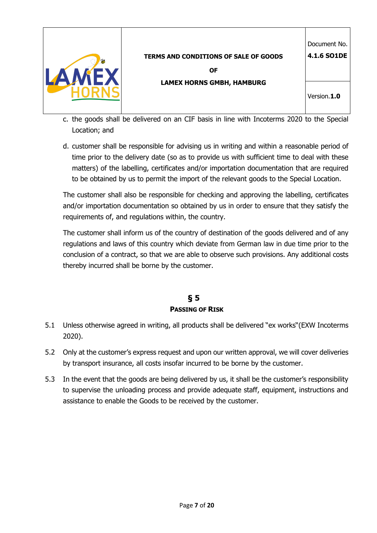

- c. the goods shall be delivered on an CIF basis in line with Incoterms 2020 to the Special Location; and
- d. customer shall be responsible for advising us in writing and within a reasonable period of time prior to the delivery date (so as to provide us with sufficient time to deal with these matters) of the labelling, certificates and/or importation documentation that are required to be obtained by us to permit the import of the relevant goods to the Special Location.

The customer shall also be responsible for checking and approving the labelling, certificates and/or importation documentation so obtained by us in order to ensure that they satisfy the requirements of, and regulations within, the country.

The customer shall inform us of the country of destination of the goods delivered and of any regulations and laws of this country which deviate from German law in due time prior to the conclusion of a contract, so that we are able to observe such provisions. Any additional costs thereby incurred shall be borne by the customer.

# **§ 5 PASSING OF RISK**

- 5.1 Unless otherwise agreed in writing, all products shall be delivered "ex works"(EXW Incoterms 2020).
- 5.2 Only at the customer's express request and upon our written approval, we will cover deliveries by transport insurance, all costs insofar incurred to be borne by the customer.
- 5.3 In the event that the goods are being delivered by us, it shall be the customer's responsibility to supervise the unloading process and provide adequate staff, equipment, instructions and assistance to enable the Goods to be received by the customer.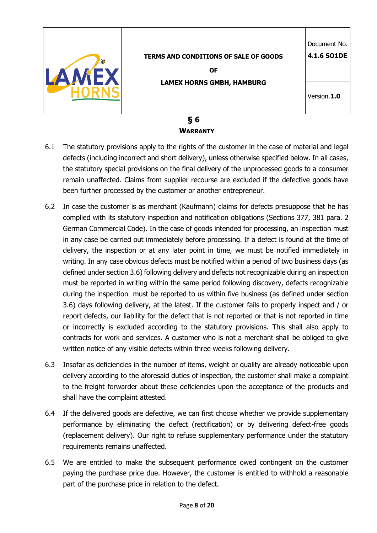| <b>TERMS AND CONDITIONS OF SALE OF GOODS</b><br><b>OF</b><br><b>LAMEX HORNS GMBH, HAMBURG</b> | Document No.<br>4.1.6 SO1DE<br>Version.1.0 |
|-----------------------------------------------------------------------------------------------|--------------------------------------------|
| δ<br>6                                                                                        |                                            |

# **WARRANTY**

- 6.1 The statutory provisions apply to the rights of the customer in the case of material and legal defects (including incorrect and short delivery), unless otherwise specified below. In all cases, the statutory special provisions on the final delivery of the unprocessed goods to a consumer remain unaffected. Claims from supplier recourse are excluded if the defective goods have been further processed by the customer or another entrepreneur.
- 6.2 In case the customer is as merchant (Kaufmann) claims for defects presuppose that he has complied with its statutory inspection and notification obligations (Sections 377, 381 para. 2 German Commercial Code). In the case of goods intended for processing, an inspection must in any case be carried out immediately before processing. If a defect is found at the time of delivery, the inspection or at any later point in time, we must be notified immediately in writing. In any case obvious defects must be notified within a period of two business days (as defined under section 3.6) following delivery and defects not recognizable during an inspection must be reported in writing within the same period following discovery, defects recognizable during the inspection must be reported to us within five business (as defined under section 3.6) days following delivery, at the latest. If the customer fails to properly inspect and / or report defects, our liability for the defect that is not reported or that is not reported in time or incorrectly is excluded according to the statutory provisions. This shall also apply to contracts for work and services. A customer who is not a merchant shall be obliged to give written notice of any visible defects within three weeks following delivery.
- 6.3 Insofar as deficiencies in the number of items, weight or quality are already noticeable upon delivery according to the aforesaid duties of inspection, the customer shall make a complaint to the freight forwarder about these deficiencies upon the acceptance of the products and shall have the complaint attested.
- 6.4 If the delivered goods are defective, we can first choose whether we provide supplementary performance by eliminating the defect (rectification) or by delivering defect-free goods (replacement delivery). Our right to refuse supplementary performance under the statutory requirements remains unaffected.
- 6.5 We are entitled to make the subsequent performance owed contingent on the customer paying the purchase price due. However, the customer is entitled to withhold a reasonable part of the purchase price in relation to the defect.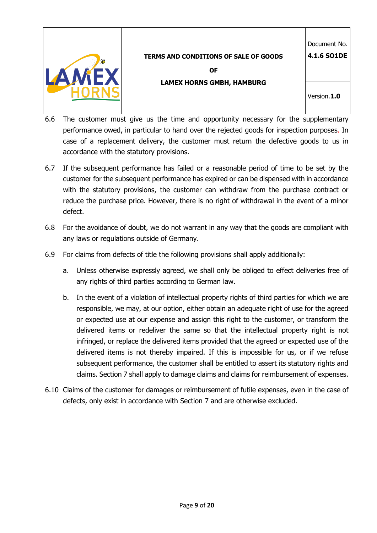

Document No.

**4.1.6 SO1DE**

**OF** 

**LAMEX HORNS GMBH, HAMBURG**

Version.**1.0**

- 6.6 The customer must give us the time and opportunity necessary for the supplementary performance owed, in particular to hand over the rejected goods for inspection purposes. In case of a replacement delivery, the customer must return the defective goods to us in accordance with the statutory provisions.
- 6.7 If the subsequent performance has failed or a reasonable period of time to be set by the customer for the subsequent performance has expired or can be dispensed with in accordance with the statutory provisions, the customer can withdraw from the purchase contract or reduce the purchase price. However, there is no right of withdrawal in the event of a minor defect.
- 6.8 For the avoidance of doubt, we do not warrant in any way that the goods are compliant with any laws or regulations outside of Germany.
- 6.9 For claims from defects of title the following provisions shall apply additionally:
	- a. Unless otherwise expressly agreed, we shall only be obliged to effect deliveries free of any rights of third parties according to German law.
	- b. In the event of a violation of intellectual property rights of third parties for which we are responsible, we may, at our option, either obtain an adequate right of use for the agreed or expected use at our expense and assign this right to the customer, or transform the delivered items or redeliver the same so that the intellectual property right is not infringed, or replace the delivered items provided that the agreed or expected use of the delivered items is not thereby impaired. If this is impossible for us, or if we refuse subsequent performance, the customer shall be entitled to assert its statutory rights and claims. Section 7 shall apply to damage claims and claims for reimbursement of expenses.
- 6.10 Claims of the customer for damages or reimbursement of futile expenses, even in the case of defects, only exist in accordance with Section 7 and are otherwise excluded.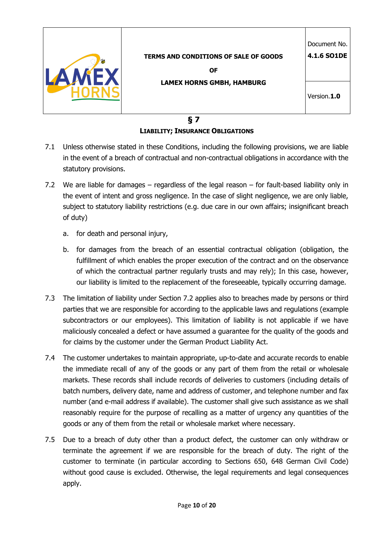|                                              | Document No. |
|----------------------------------------------|--------------|
| <b>TERMS AND CONDITIONS OF SALE OF GOODS</b> | 4.1.6 SO1DE  |
| <b>OF</b>                                    |              |
| <b>LAMEX HORNS GMBH, HAMBURG</b>             |              |
|                                              | Version.1.0  |
|                                              |              |

### **§ 7 LIABILITY; INSURANCE OBLIGATIONS**

- 7.1 Unless otherwise stated in these Conditions, including the following provisions, we are liable in the event of a breach of contractual and non-contractual obligations in accordance with the statutory provisions.
- 7.2 We are liable for damages regardless of the legal reason for fault-based liability only in the event of intent and gross negligence. In the case of slight negligence, we are only liable, subject to statutory liability restrictions (e.g. due care in our own affairs; insignificant breach of duty)
	- a. for death and personal injury,
	- b. for damages from the breach of an essential contractual obligation (obligation, the fulfillment of which enables the proper execution of the contract and on the observance of which the contractual partner regularly trusts and may rely); In this case, however, our liability is limited to the replacement of the foreseeable, typically occurring damage.
- 7.3 The limitation of liability under Section 7.2 applies also to breaches made by persons or third parties that we are responsible for according to the applicable laws and regulations (example subcontractors or our employees). This limitation of liability is not applicable if we have maliciously concealed a defect or have assumed a guarantee for the quality of the goods and for claims by the customer under the German Product Liability Act.
- 7.4 The customer undertakes to maintain appropriate, up-to-date and accurate records to enable the immediate recall of any of the goods or any part of them from the retail or wholesale markets. These records shall include records of deliveries to customers (including details of batch numbers, delivery date, name and address of customer, and telephone number and fax number (and e-mail address if available). The customer shall give such assistance as we shall reasonably require for the purpose of recalling as a matter of urgency any quantities of the goods or any of them from the retail or wholesale market where necessary.
- 7.5 Due to a breach of duty other than a product defect, the customer can only withdraw or terminate the agreement if we are responsible for the breach of duty. The right of the customer to terminate (in particular according to Sections 650, 648 German Civil Code) without good cause is excluded. Otherwise, the legal requirements and legal consequences apply.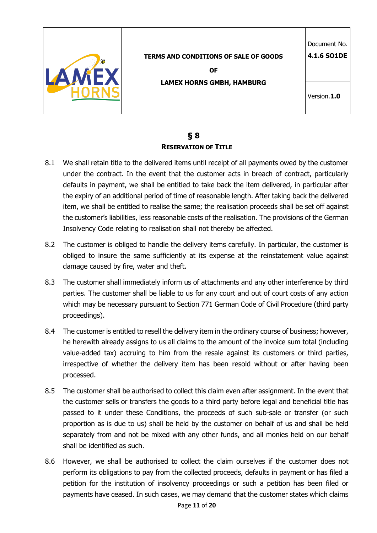

## **§ 8 RESERVATION OF TITLE**

- 8.1 We shall retain title to the delivered items until receipt of all payments owed by the customer under the contract. In the event that the customer acts in breach of contract, particularly defaults in payment, we shall be entitled to take back the item delivered, in particular after the expiry of an additional period of time of reasonable length. After taking back the delivered item, we shall be entitled to realise the same; the realisation proceeds shall be set off against the customer's liabilities, less reasonable costs of the realisation. The provisions of the German Insolvency Code relating to realisation shall not thereby be affected.
- 8.2 The customer is obliged to handle the delivery items carefully. In particular, the customer is obliged to insure the same sufficiently at its expense at the reinstatement value against damage caused by fire, water and theft.
- 8.3 The customer shall immediately inform us of attachments and any other interference by third parties. The customer shall be liable to us for any court and out of court costs of any action which may be necessary pursuant to Section 771 German Code of Civil Procedure (third party proceedings).
- 8.4 The customer is entitled to resell the delivery item in the ordinary course of business; however, he herewith already assigns to us all claims to the amount of the invoice sum total (including value-added tax) accruing to him from the resale against its customers or third parties, irrespective of whether the delivery item has been resold without or after having been processed.
- 8.5 The customer shall be authorised to collect this claim even after assignment. In the event that the customer sells or transfers the goods to a third party before legal and beneficial title has passed to it under these Conditions, the proceeds of such sub-sale or transfer (or such proportion as is due to us) shall be held by the customer on behalf of us and shall be held separately from and not be mixed with any other funds, and all monies held on our behalf shall be identified as such.
- 8.6 However, we shall be authorised to collect the claim ourselves if the customer does not perform its obligations to pay from the collected proceeds, defaults in payment or has filed a petition for the institution of insolvency proceedings or such a petition has been filed or payments have ceased. In such cases, we may demand that the customer states which claims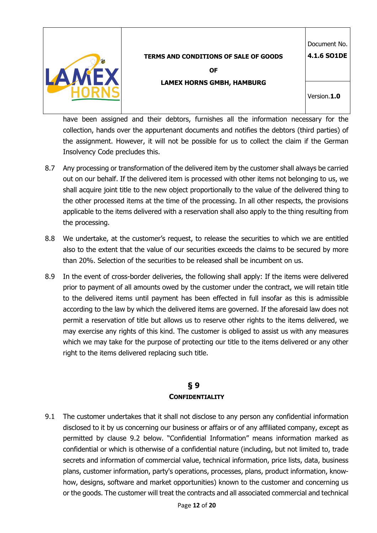

Document No.

**4.1.6 SO1DE**

**OF LAMEX HORNS GMBH, HAMBURG**

Version.**1.0**

have been assigned and their debtors, furnishes all the information necessary for the collection, hands over the appurtenant documents and notifies the debtors (third parties) of the assignment. However, it will not be possible for us to collect the claim if the German Insolvency Code precludes this.

- 8.7 Any processing or transformation of the delivered item by the customer shall always be carried out on our behalf. If the delivered item is processed with other items not belonging to us, we shall acquire joint title to the new object proportionally to the value of the delivered thing to the other processed items at the time of the processing. In all other respects, the provisions applicable to the items delivered with a reservation shall also apply to the thing resulting from the processing.
- 8.8 We undertake, at the customer's request, to release the securities to which we are entitled also to the extent that the value of our securities exceeds the claims to be secured by more than 20%. Selection of the securities to be released shall be incumbent on us.
- 8.9 In the event of cross-border deliveries, the following shall apply: If the items were delivered prior to payment of all amounts owed by the customer under the contract, we will retain title to the delivered items until payment has been effected in full insofar as this is admissible according to the law by which the delivered items are governed. If the aforesaid law does not permit a reservation of title but allows us to reserve other rights to the items delivered, we may exercise any rights of this kind. The customer is obliged to assist us with any measures which we may take for the purpose of protecting our title to the items delivered or any other right to the items delivered replacing such title.

# **§ 9 CONFIDENTIALITY**

9.1 The customer undertakes that it shall not disclose to any person any confidential information disclosed to it by us concerning our business or affairs or of any affiliated company, except as permitted by clause 9.2 below. "Confidential Information" means information marked as confidential or which is otherwise of a confidential nature (including, but not limited to, trade secrets and information of commercial value, technical information, price lists, data, business plans, customer information, party's operations, processes, plans, product information, knowhow, designs, software and market opportunities) known to the customer and concerning us or the goods. The customer will treat the contracts and all associated commercial and technical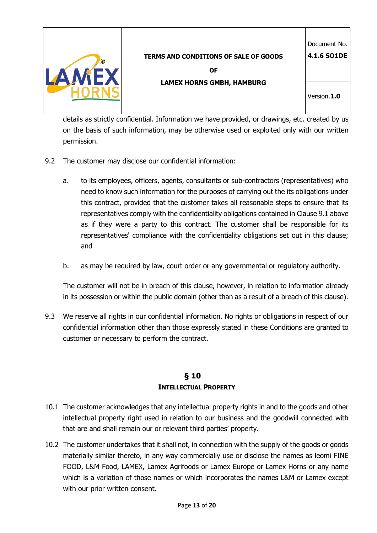

**OF** 

Document No. **4.1.6 SO1DE**

**LAMEX HORNS GMBH, HAMBURG**

Version.**1.0**

details as strictly confidential. Information we have provided, or drawings, etc. created by us on the basis of such information, may be otherwise used or exploited only with our written permission.

- 9.2 The customer may disclose our confidential information:
	- a. to its employees, officers, agents, consultants or sub-contractors (representatives) who need to know such information for the purposes of carrying out the its obligations under this contract, provided that the customer takes all reasonable steps to ensure that its representatives comply with the confidentiality obligations contained in Clause 9.1 above as if they were a party to this contract. The customer shall be responsible for its representatives' compliance with the confidentiality obligations set out in this clause; and
	- b. as may be required by law, court order or any governmental or regulatory authority.

The customer will not be in breach of this clause, however, in relation to information already in its possession or within the public domain (other than as a result of a breach of this clause).

9.3 We reserve all rights in our confidential information. No rights or obligations in respect of our confidential information other than those expressly stated in these Conditions are granted to customer or necessary to perform the contract.

# **§ 10 INTELLECTUAL PROPERTY**

- 10.1 The customer acknowledges that any intellectual property rights in and to the goods and other intellectual property right used in relation to our business and the goodwill connected with that are and shall remain our or relevant third parties' property.
- 10.2 The customer undertakes that it shall not, in connection with the supply of the goods or goods materially similar thereto, in any way commercially use or disclose the names as leomi FINE FOOD, L&M Food, LAMEX, Lamex Agrifoods or Lamex Europe or Lamex Horns or any name which is a variation of those names or which incorporates the names L&M or Lamex except with our prior written consent.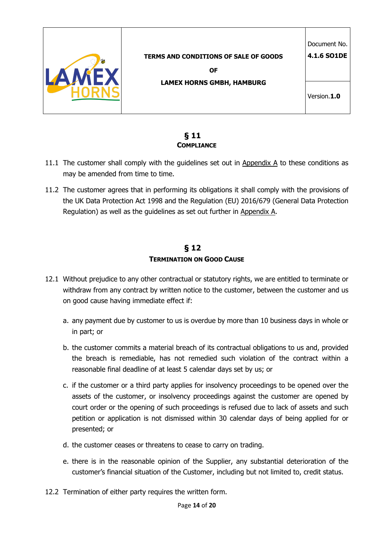

## **§ 11 COMPLIANCE**

- 11.1 The customer shall comply with the guidelines set out in Appendix A to these conditions as may be amended from time to time.
- 11.2 The customer agrees that in performing its obligations it shall comply with the provisions of the UK Data Protection Act 1998 and the Regulation (EU) 2016/679 (General Data Protection Regulation) as well as the guidelines as set out further in Appendix A.

# **§ 12 TERMINATION ON GOOD CAUSE**

- 12.1 Without prejudice to any other contractual or statutory rights, we are entitled to terminate or withdraw from any contract by written notice to the customer, between the customer and us on good cause having immediate effect if:
	- a. any payment due by customer to us is overdue by more than 10 business days in whole or in part; or
	- b. the customer commits a material breach of its contractual obligations to us and, provided the breach is remediable, has not remedied such violation of the contract within a reasonable final deadline of at least 5 calendar days set by us; or
	- c. if the customer or a third party applies for insolvency proceedings to be opened over the assets of the customer, or insolvency proceedings against the customer are opened by court order or the opening of such proceedings is refused due to lack of assets and such petition or application is not dismissed within 30 calendar days of being applied for or presented; or
	- d. the customer ceases or threatens to cease to carry on trading.
	- e. there is in the reasonable opinion of the Supplier, any substantial deterioration of the customer's financial situation of the Customer, including but not limited to, credit status.
- 12.2 Termination of either party requires the written form.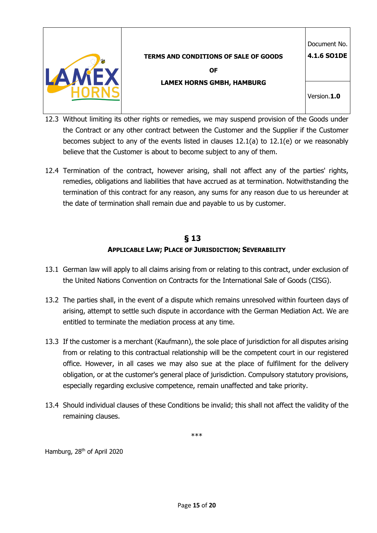

**4.1.6 SO1DE**

**OF LAMEX HORNS GMBH, HAMBURG**

Version.**1.0**

- 12.3 Without limiting its other rights or remedies, we may suspend provision of the Goods under the Contract or any other contract between the Customer and the Supplier if the Customer becomes subject to any of the events listed in clauses 12.1(a) to 12.1(e) or we reasonably believe that the Customer is about to become subject to any of them.
- 12.4 Termination of the contract, however arising, shall not affect any of the parties' rights, remedies, obligations and liabilities that have accrued as at termination. Notwithstanding the termination of this contract for any reason, any sums for any reason due to us hereunder at the date of termination shall remain due and payable to us by customer.

# **§ 13 APPLICABLE LAW; PLACE OF JURISDICTION; SEVERABILITY**

- 13.1 German law will apply to all claims arising from or relating to this contract, under exclusion of the United Nations Convention on Contracts for the International Sale of Goods (CISG).
- 13.2 The parties shall, in the event of a dispute which remains unresolved within fourteen days of arising, attempt to settle such dispute in accordance with the German Mediation Act. We are entitled to terminate the mediation process at any time.
- 13.3 If the customer is a merchant (Kaufmann), the sole place of jurisdiction for all disputes arising from or relating to this contractual relationship will be the competent court in our registered office. However, in all cases we may also sue at the place of fulfilment for the delivery obligation, or at the customer's general place of jurisdiction. Compulsory statutory provisions, especially regarding exclusive competence, remain unaffected and take priority.
- 13.4 Should individual clauses of these Conditions be invalid; this shall not affect the validity of the remaining clauses.

\*\*\*

Hamburg, 28<sup>th</sup> of April 2020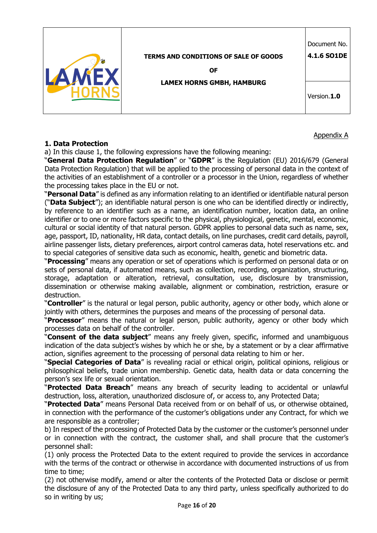|                                              | Document No. |
|----------------------------------------------|--------------|
| <b>TERMS AND CONDITIONS OF SALE OF GOODS</b> | 4.1.6 SO1DE  |
| <b>OF</b>                                    |              |
| <b>LAMEX HORNS GMBH, HAMBURG</b>             |              |
|                                              | Version.1.0  |
|                                              |              |

#### **1. Data Protection**

a) In this clause 1, the following expressions have the following meaning:

"**General Data Protection Regulation**" or "**GDPR**" is the Regulation (EU) 2016/679 (General Data Protection Regulation) that will be applied to the processing of personal data in the context of the activities of an establishment of a controller or a processor in the Union, regardless of whether the processing takes place in the EU or not.

Appendix A

"**Personal Data**" is defined as any information relating to an identified or identifiable natural person ("**Data Subject**"); an identifiable natural person is one who can be identified directly or indirectly, by reference to an identifier such as a name, an identification number, location data, an online identifier or to one or more factors specific to the physical, physiological, genetic, mental, economic, cultural or social identity of that natural person. GDPR applies to personal data such as name, sex, age, passport, ID, nationality, HR data, contact details, on line purchases, credit card details, payroll, airline passenger lists, dietary preferences, airport control cameras data, hotel reservations etc. and to special categories of sensitive data such as economic, health, genetic and biometric data.

"**Processing**" means any operation or set of operations which is performed on personal data or on sets of personal data, if automated means, such as collection, recording, organization, structuring, storage, adaptation or alteration, retrieval, consultation, use, disclosure by transmission, dissemination or otherwise making available, alignment or combination, restriction, erasure or destruction.

"**Controller**" is the natural or legal person, public authority, agency or other body, which alone or jointly with others, determines the purposes and means of the processing of personal data.

"**Processor**" means the natural or legal person, public authority, agency or other body which processes data on behalf of the controller.

"**Consent of the data subject**" means any freely given, specific, informed and unambiguous indication of the data subject's wishes by which he or she, by a statement or by a clear affirmative action, signifies agreement to the processing of personal data relating to him or her.

"**Special Categories of Data**" is revealing racial or ethical origin, political opinions, religious or philosophical beliefs, trade union membership. Genetic data, health data or data concerning the person's sex life or sexual orientation.

"**Protected Data Breach**" means any breach of security leading to accidental or unlawful destruction, loss, alteration, unauthorized disclosure of, or access to, any Protected Data;

"**Protected Data**" means Personal Data received from or on behalf of us, or otherwise obtained, in connection with the performance of the customer's obligations under any Contract, for which we are responsible as a controller;

b) In respect of the processing of Protected Data by the customer or the customer's personnel under or in connection with the contract, the customer shall, and shall procure that the customer's personnel shall:

(1) only process the Protected Data to the extent required to provide the services in accordance with the terms of the contract or otherwise in accordance with documented instructions of us from time to time;

(2) not otherwise modify, amend or alter the contents of the Protected Data or disclose or permit the disclosure of any of the Protected Data to any third party, unless specifically authorized to do so in writing by us;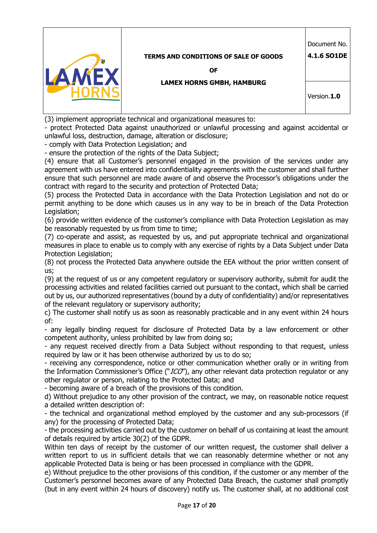

Document No.

**4.1.6 SO1DE**

**OF** 

#### **LAMEX HORNS GMBH, HAMBURG**

Version.**1.0**

(3) implement appropriate technical and organizational measures to:

- protect Protected Data against unauthorized or unlawful processing and against accidental or unlawful loss, destruction, damage, alteration or disclosure;

- comply with Data Protection Legislation; and

- ensure the protection of the rights of the Data Subject;

(4) ensure that all Customer's personnel engaged in the provision of the services under any agreement with us have entered into confidentiality agreements with the customer and shall further ensure that such personnel are made aware of and observe the Processor's obligations under the contract with regard to the security and protection of Protected Data;

(5) process the Protected Data in accordance with the Data Protection Legislation and not do or permit anything to be done which causes us in any way to be in breach of the Data Protection Legislation;

(6) provide written evidence of the customer's compliance with Data Protection Legislation as may be reasonably requested by us from time to time;

(7) co-operate and assist, as requested by us, and put appropriate technical and organizational measures in place to enable us to comply with any exercise of rights by a Data Subject under Data Protection Legislation;

(8) not process the Protected Data anywhere outside the EEA without the prior written consent of us;

(9) at the request of us or any competent regulatory or supervisory authority, submit for audit the processing activities and related facilities carried out pursuant to the contact, which shall be carried out by us, our authorized representatives (bound by a duty of confidentiality) and/or representatives of the relevant regulatory or supervisory authority;

c) The customer shall notify us as soon as reasonably practicable and in any event within 24 hours of:

- any legally binding request for disclosure of Protected Data by a law enforcement or other competent authority, unless prohibited by law from doing so;

- any request received directly from a Data Subject without responding to that request, unless required by law or it has been otherwise authorized by us to do so;

- receiving any correspondence, notice or other communication whether orally or in writing from the Information Commissioner's Office ("ICO"), any other relevant data protection regulator or any other regulator or person, relating to the Protected Data; and

- becoming aware of a breach of the provisions of this condition.

d) Without prejudice to any other provision of the contract, we may, on reasonable notice request a detailed written description of:

- the technical and organizational method employed by the customer and any sub-processors (if any) for the processing of Protected Data;

- the processing activities carried out by the customer on behalf of us containing at least the amount of details required by article 30(2) of the GDPR.

Within ten days of receipt by the customer of our written request, the customer shall deliver a written report to us in sufficient details that we can reasonably determine whether or not any applicable Protected Data is being or has been processed in compliance with the GDPR.

e) Without prejudice to the other provisions of this condition, if the customer or any member of the Customer's personnel becomes aware of any Protected Data Breach, the customer shall promptly (but in any event within 24 hours of discovery) notify us. The customer shall, at no additional cost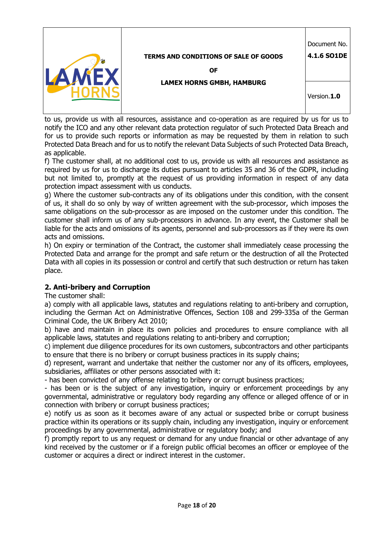|                                              | Document No. |
|----------------------------------------------|--------------|
| <b>TERMS AND CONDITIONS OF SALE OF GOODS</b> | 4.1.6 SO1DE  |
| 0F                                           |              |
| <b>LAMEX HORNS GMBH, HAMBURG</b>             |              |
|                                              | Version.1.0  |
|                                              |              |

to us, provide us with all resources, assistance and co-operation as are required by us for us to notify the ICO and any other relevant data protection regulator of such Protected Data Breach and for us to provide such reports or information as may be requested by them in relation to such Protected Data Breach and for us to notify the relevant Data Subjects of such Protected Data Breach, as applicable.

f) The customer shall, at no additional cost to us, provide us with all resources and assistance as required by us for us to discharge its duties pursuant to articles 35 and 36 of the GDPR, including but not limited to, promptly at the request of us providing information in respect of any data protection impact assessment with us conducts.

g) Where the customer sub-contracts any of its obligations under this condition, with the consent of us, it shall do so only by way of written agreement with the sub-processor, which imposes the same obligations on the sub-processor as are imposed on the customer under this condition. The customer shall inform us of any sub-processors in advance. In any event, the Customer shall be liable for the acts and omissions of its agents, personnel and sub-processors as if they were its own acts and omissions.

h) On expiry or termination of the Contract, the customer shall immediately cease processing the Protected Data and arrange for the prompt and safe return or the destruction of all the Protected Data with all copies in its possession or control and certify that such destruction or return has taken place.

## **2. Anti-bribery and Corruption**

The customer shall:

a) comply with all applicable laws, statutes and regulations relating to anti-bribery and corruption, including the German Act on Administrative Offences, Section 108 and 299-335a of the German Criminal Code, the UK Bribery Act 2010;

b) have and maintain in place its own policies and procedures to ensure compliance with all applicable laws, statutes and regulations relating to anti-bribery and corruption;

c) implement due diligence procedures for its own customers, subcontractors and other participants to ensure that there is no bribery or corrupt business practices in its supply chains;

d) represent, warrant and undertake that neither the customer nor any of its officers, employees, subsidiaries, affiliates or other persons associated with it:

- has been convicted of any offense relating to bribery or corrupt business practices;

- has been or is the subject of any investigation, inquiry or enforcement proceedings by any governmental, administrative or regulatory body regarding any offence or alleged offence of or in connection with bribery or corrupt business practices;

e) notify us as soon as it becomes aware of any actual or suspected bribe or corrupt business practice within its operations or its supply chain, including any investigation, inquiry or enforcement proceedings by any governmental, administrative or regulatory body; and

f) promptly report to us any request or demand for any undue financial or other advantage of any kind received by the customer or if a foreign public official becomes an officer or employee of the customer or acquires a direct or indirect interest in the customer.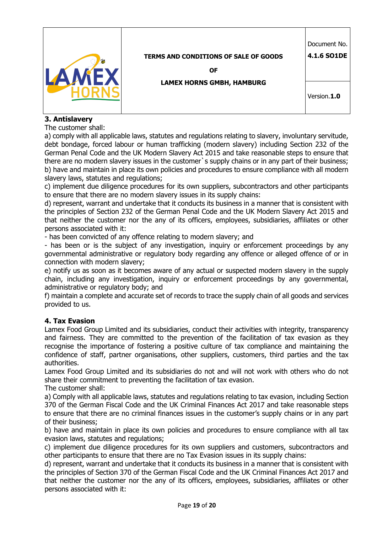

**OF** 

**LAMEX HORNS GMBH, HAMBURG**

Version.**1.0**

# **3. Antislavery**

The customer shall:

a) comply with all applicable laws, statutes and regulations relating to slavery, involuntary servitude, debt bondage, forced labour or human trafficking (modern slavery) including Section 232 of the German Penal Code and the UK Modern Slavery Act 2015 and take reasonable steps to ensure that there are no modern slavery issues in the customer`s supply chains or in any part of their business; b) have and maintain in place its own policies and procedures to ensure compliance with all modern slavery laws, statutes and regulations;

c) implement due diligence procedures for its own suppliers, subcontractors and other participants to ensure that there are no modern slavery issues in its supply chains:

d) represent, warrant and undertake that it conducts its business in a manner that is consistent with the principles of Section 232 of the German Penal Code and the UK Modern Slavery Act 2015 and that neither the customer nor the any of its officers, employees, subsidiaries, affiliates or other persons associated with it:

- has been convicted of any offence relating to modern slavery; and

- has been or is the subject of any investigation, inquiry or enforcement proceedings by any governmental administrative or regulatory body regarding any offence or alleged offence of or in connection with modern slavery;

e) notify us as soon as it becomes aware of any actual or suspected modern slavery in the supply chain, including any investigation, inquiry or enforcement proceedings by any governmental, administrative or regulatory body; and

f) maintain a complete and accurate set of records to trace the supply chain of all goods and services provided to us.

### **4. Tax Evasion**

Lamex Food Group Limited and its subsidiaries, conduct their activities with integrity, transparency and fairness. They are committed to the prevention of the facilitation of tax evasion as they recognise the importance of fostering a positive culture of tax compliance and maintaining the confidence of staff, partner organisations, other suppliers, customers, third parties and the tax authorities.

Lamex Food Group Limited and its subsidiaries do not and will not work with others who do not share their commitment to preventing the facilitation of tax evasion.

The customer shall:

a) Comply with all applicable laws, statutes and regulations relating to tax evasion, including Section 370 of the German Fiscal Code and the UK Criminal Finances Act 2017 and take reasonable steps to ensure that there are no criminal finances issues in the customer's supply chains or in any part of their business;

b) have and maintain in place its own policies and procedures to ensure compliance with all tax evasion laws, statutes and regulations;

c) implement due diligence procedures for its own suppliers and customers, subcontractors and other participants to ensure that there are no Tax Evasion issues in its supply chains:

d) represent, warrant and undertake that it conducts its business in a manner that is consistent with the principles of Section 370 of the German Fiscal Code and the UK Criminal Finances Act 2017 and that neither the customer nor the any of its officers, employees, subsidiaries, affiliates or other persons associated with it: